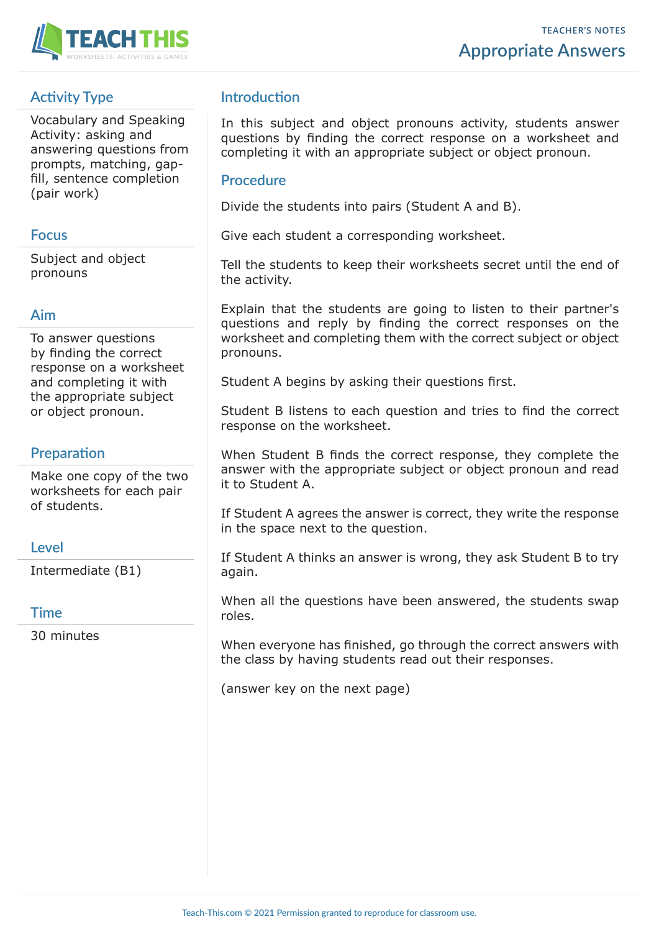

# **Activity Type**

Vocabulary and Speaking Activity: asking and answering questions from prompts, matching, gapfill, sentence completion (pair work)

#### **Focus**

Subject and object pronouns

#### **Aim**

To answer questions by finding the correct response on a worksheet and completing it with the appropriate subject or object pronoun.

# **Preparation**

Make one copy of the two worksheets for each pair of students.

## **Level**

Intermediate (B1)

## **Time**

30 minutes

# **Introduction**

In this subject and object pronouns activity, students answer questions by finding the correct response on a worksheet and completing it with an appropriate subject or object pronoun.

#### **Procedure**

Divide the students into pairs (Student A and B).

Give each student a corresponding worksheet.

Tell the students to keep their worksheets secret until the end of the activity.

Explain that the students are going to listen to their partner's questions and reply by finding the correct responses on the worksheet and completing them with the correct subject or object pronouns.

Student A begins by asking their questions first.

Student B listens to each question and tries to find the correct response on the worksheet.

When Student B finds the correct response, they complete the answer with the appropriate subject or object pronoun and read it to Student A.

If Student A agrees the answer is correct, they write the response in the space next to the question.

If Student A thinks an answer is wrong, they ask Student B to try again.

When all the questions have been answered, the students swap roles.

When everyone has finished, go through the correct answers with the class by having students read out their responses.

(answer key on the next page)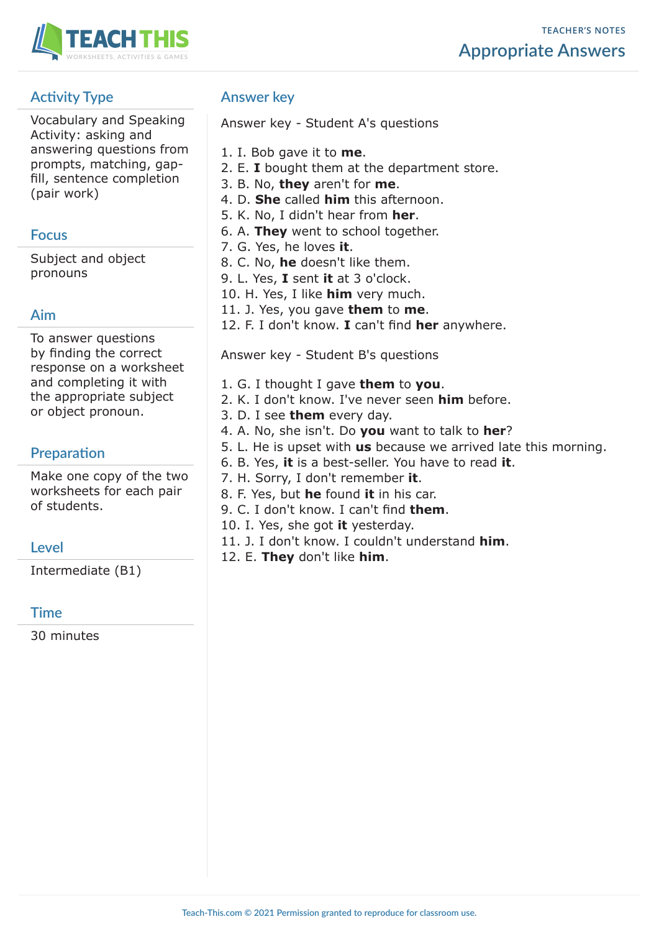

# **Activity Type**

Vocabulary and Speaking Activity: asking and answering questions from prompts, matching, gapfill, sentence completion (pair work)

#### **Focus**

Subject and object pronouns

## **Aim**

To answer questions by finding the correct response on a worksheet and completing it with the appropriate subject or object pronoun.

# **Preparation**

Make one copy of the two worksheets for each pair of students.

## **Level**

Intermediate (B1)

## **Time**

30 minutes

# **Answer key**

Answer key - Student A's questions

- 1. I. Bob gave it to **me**.
- 2. E. **I** bought them at the department store.
- 3. B. No, **they** aren't for **me**.
- 4. D. **She** called **him** this afternoon.
- 5. K. No, I didn't hear from **her**.
- 6. A. **They** went to school together.
- 7. G. Yes, he loves **it**.
- 8. C. No, **he** doesn't like them.
- 9. L. Yes, **I** sent **it** at 3 o'clock.
- 10. H. Yes, I like **him** very much.
- 11. J. Yes, you gave **them** to **me**.
- 12. F. I don't know. **I** can't find **her** anywhere.

Answer key - Student B's questions

- 1. G. I thought I gave **them** to **you**.
- 2. K. I don't know. I've never seen **him** before.
- 3. D. I see **them** every day.
- 4. A. No, she isn't. Do **you** want to talk to **her**?
- 5. L. He is upset with **us** because we arrived late this morning.
- 6. B. Yes, **it** is a best-seller. You have to read **it**.
- 7. H. Sorry, I don't remember **it**.
- 8. F. Yes, but **he** found **it** in his car.
- 9. C. I don't know. I can't find **them**.
- 10. I. Yes, she got **it** yesterday.
- 11. J. I don't know. I couldn't understand **him**.
- 12. E. **They** don't like **him**.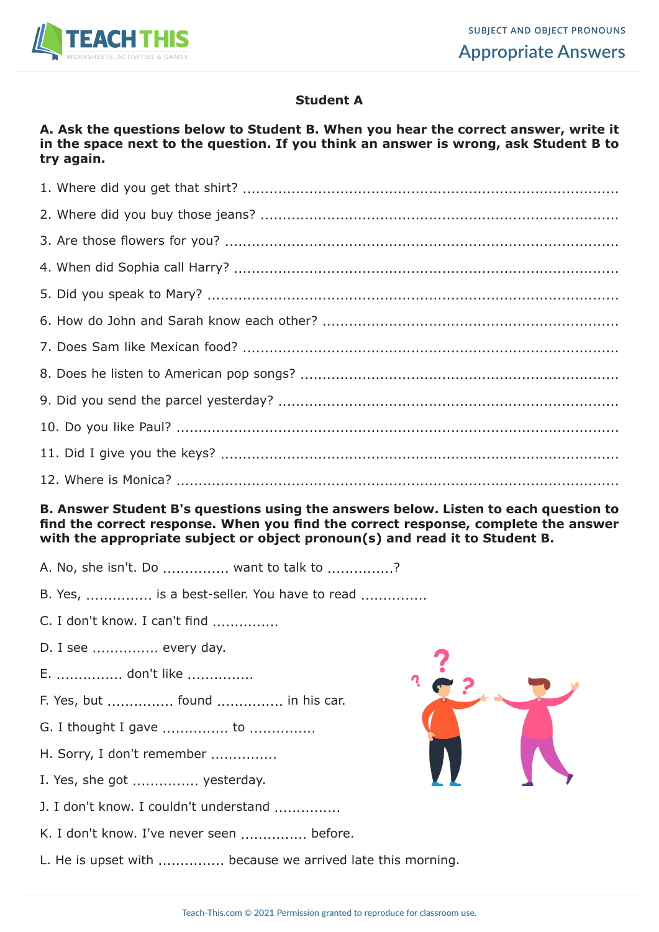

## **Student A**

#### **A. Ask the questions below to Student B. When you hear the correct answer, write it in the space next to the question. If you think an answer is wrong, ask Student B to try again.**

#### **B. Answer Student B's questions using the answers below. Listen to each question to find the correct response. When you find the correct response, complete the answer with the appropriate subject or object pronoun(s) and read it to Student B.**

- A. No, she isn't. Do ................ want to talk to ...............?
- B. Yes, ................. is a best-seller. You have to read .................
- C. I don't know. I can't find ...............
- D. I see ............... every day.
- E. ............... don't like ...............
- F. Yes, but ............... found ............... in his car.
- G. I thought I gave ................. to ................
- H. Sorry, I don't remember ...............
- I. Yes, she got ............... yesterday.
- J. I don't know. I couldn't understand
- K. I don't know. I've never seen ................ before.
- L. He is upset with ................ because we arrived late this morning.